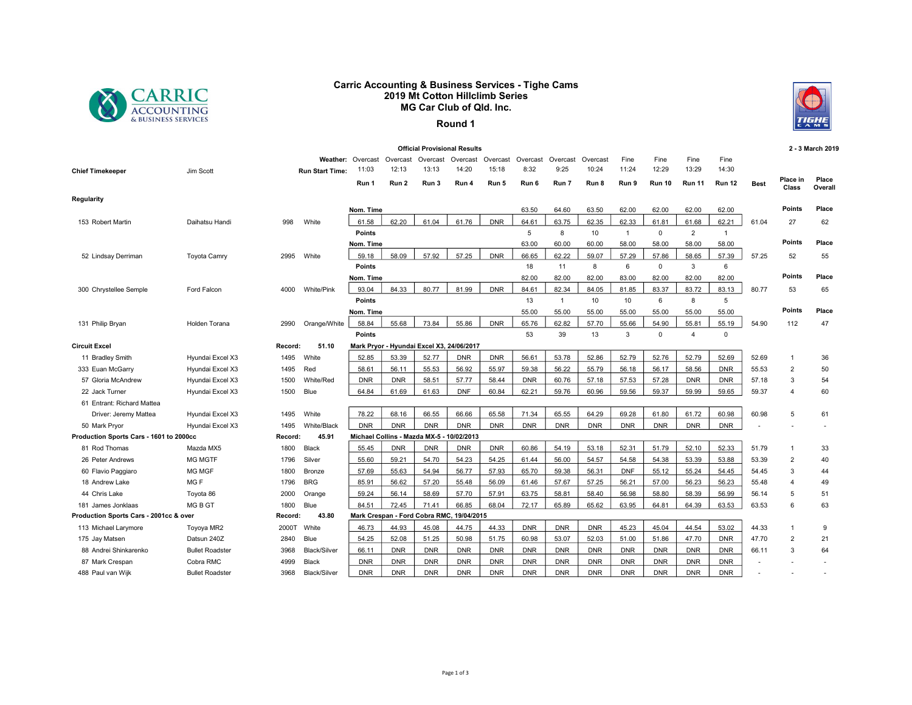

## Carric Accounting & Business Services - Tighe Cams 2019 Mt Cotton Hillclimb Series MG Car Club of Qld. Inc.



## Round 1

|                                         |                        |         |                        |                   |            |            | <b>Official Provisional Results</b>       |            |            |                |            |              |               |                |                |             |                          | 2 - 3 March 2019 |
|-----------------------------------------|------------------------|---------|------------------------|-------------------|------------|------------|-------------------------------------------|------------|------------|----------------|------------|--------------|---------------|----------------|----------------|-------------|--------------------------|------------------|
|                                         |                        |         |                        | Weather: Overcast | Overcast   | Overcast   | Overcast                                  | Overcast   | Overcast   | Overcast       | Overcast   | Fine         | Fine          | Fine           | Fine           |             |                          |                  |
| <b>Chief Timekeeper</b>                 | Jim Scott              |         | <b>Run Start Time:</b> | 11:03             | 12:13      | 13:13      | 14:20                                     | 15:18      | 8:32       | 9:25           | 10:24      | 11:24        | 12:29         | 13:29          | 14:30          |             |                          |                  |
|                                         |                        |         |                        | Run 1             | Run 2      | Run 3      | Run 4                                     | Run 5      | Run 6      | Run 7          | Run 8      | Run 9        | <b>Run 10</b> | <b>Run 11</b>  | <b>Run 12</b>  | <b>Best</b> | <b>Place in</b><br>Class | Place<br>Overall |
| Regularity                              |                        |         |                        |                   |            |            |                                           |            |            |                |            |              |               |                |                |             |                          |                  |
|                                         |                        |         |                        | Nom. Time         |            |            |                                           |            | 63.50      | 64.60          | 63.50      | 62.00        | 62.00         | 62.00          | 62.00          |             | <b>Points</b>            | Place            |
| 153 Robert Martin                       | Daihatsu Handi         | 998     | White                  | 61.58             | 62.20      | 61.04      | 61.76                                     | <b>DNR</b> | 64.61      | 63.75          | 62.35      | 62.33        | 61.81         | 61.68          | 62.21          | 61.04       | 27                       | 62               |
|                                         |                        |         |                        | <b>Points</b>     |            |            |                                           |            | 5          | 8              | 10         | $\mathbf{1}$ | 0             | $\overline{2}$ | $\overline{1}$ |             |                          |                  |
|                                         |                        |         |                        | Nom. Time         |            |            |                                           |            | 63.00      | 60.00          | 60.00      | 58.00        | 58.00         | 58.00          | 58.00          |             | <b>Points</b>            | Place            |
| 52 Lindsay Derriman                     | <b>Toyota Camry</b>    | 2995    | White                  | 59.18             | 58.09      | 57.92      | 57.25                                     | <b>DNR</b> | 66.65      | 62.22          | 59.07      | 57.29        | 57.86         | 58.65          | 57.39          | 57.25       | 52                       | 55               |
|                                         |                        |         |                        | <b>Points</b>     |            |            |                                           |            | 18         | 11             | 8          | 6            | 0             | 3              | 6              |             |                          |                  |
|                                         |                        |         |                        | Nom. Time         |            |            |                                           |            | 82.00      | 82.00          | 82.00      | 83.00        | 82.00         | 82.00          | 82.00          |             | <b>Points</b>            | Place            |
| 300 Chrystellee Semple                  | Ford Falcon            | 4000    | White/Pink             | 93.04             | 84.33      | 80.77      | 81.99                                     | <b>DNR</b> | 84.61      | 82.34          | 84.05      | 81.85        | 83.37         | 83.72          | 83.13          | 80.77       | 53                       | 65               |
|                                         |                        |         |                        | <b>Points</b>     |            |            |                                           |            | 13         | $\overline{1}$ | 10         | 10           | 6             | 8              | 5              |             |                          |                  |
|                                         |                        |         |                        | Nom. Time         |            |            |                                           |            | 55.00      | 55.00          | 55.00      | 55.00        | 55.00         | 55.00          | 55.00          |             | <b>Points</b>            | Place            |
| 131 Philip Bryan                        | Holden Torana          | 2990    | Orange/White           | 58.84             | 55.68      | 73.84      | 55.86                                     | <b>DNR</b> | 65.76      | 62.82          | 57.70      | 55.66        | 54.90         | 55.81          | 55.19          | 54.90       | 112                      | 47               |
|                                         |                        |         |                        | <b>Points</b>     |            |            |                                           |            | 53         | 39             | 13         | 3            | $\mathbf 0$   | $\overline{4}$ | $\mathbf{0}$   |             |                          |                  |
| Circuit Excel                           |                        | Record: | 51.10                  |                   |            |            | Mark Pryor - Hyundai Excel X3, 24/06/2017 |            |            |                |            |              |               |                |                |             |                          |                  |
| 11 Bradley Smith                        | Hyundai Excel X3       | 1495    | White                  | 52.85             | 53.39      | 52.77      | <b>DNR</b>                                | <b>DNR</b> | 56.61      | 53.78          | 52.86      | 52.79        | 52.76         | 52.79          | 52.69          | 52.69       | $\overline{1}$           | 36               |
| 333 Euan McGarry                        | Hyundai Excel X3       | 1495    | Red                    | 58.61             | 56.11      | 55.53      | 56.92                                     | 55.97      | 59.38      | 56.22          | 55.79      | 56.18        | 56.17         | 58.56          | <b>DNR</b>     | 55.53       | $\overline{2}$           | 50               |
| 57 Gloria McAndrew                      | Hyundai Excel X3       | 1500    | White/Red              | <b>DNR</b>        | <b>DNR</b> | 58.51      | 57.77                                     | 58.44      | <b>DNR</b> | 60.76          | 57.18      | 57.53        | 57.28         | <b>DNR</b>     | <b>DNR</b>     | 57.18       | 3                        | 54               |
| 22 Jack Turner                          | Hyundai Excel X3       | 1500    | Blue                   | 64.84             | 61.69      | 61.63      | <b>DNF</b>                                | 60.84      | 62.21      | 59.76          | 60.96      | 59.56        | 59.37         | 59.99          | 59.65          | 59.37       | $\overline{4}$           | 60               |
| 61 Entrant: Richard Mattea              |                        |         |                        |                   |            |            |                                           |            |            |                |            |              |               |                |                |             |                          |                  |
| Driver: Jeremy Mattea                   | Hyundai Excel X3       | 1495    | White                  | 78.22             | 68.16      | 66.55      | 66.66                                     | 65.58      | 71.34      | 65.55          | 64.29      | 69.28        | 61.80         | 61.72          | 60.98          | 60.98       | 5                        | 61               |
| 50 Mark Pryor                           | Hyundai Excel X3       | 1495    | White/Black            | <b>DNR</b>        | <b>DNR</b> | <b>DNR</b> | <b>DNR</b>                                | <b>DNR</b> | <b>DNR</b> | <b>DNR</b>     | <b>DNR</b> | <b>DNR</b>   | <b>DNR</b>    | <b>DNR</b>     | <b>DNR</b>     |             |                          |                  |
| Production Sports Cars - 1601 to 2000cc |                        | Record: | 45.91                  |                   |            |            | Michael Collins - Mazda MX-5 - 10/02/2013 |            |            |                |            |              |               |                |                |             |                          |                  |
| 81 Rod Thomas                           | Mazda MX5              | 1800    | Black                  | 55.45             | <b>DNR</b> | <b>DNR</b> | <b>DNR</b>                                | <b>DNR</b> | 60.86      | 54.19          | 53.18      | 52.31        | 51.79         | 52.10          | 52.33          | 51.79       | $\overline{1}$           | 33               |
| 26 Peter Andrews                        | <b>MG MGTF</b>         | 1796    | Silver                 | 55.60             | 59.21      | 54.70      | 54.23                                     | 54.25      | 61.44      | 56.00          | 54.57      | 54.58        | 54.38         | 53.39          | 53.88          | 53.39       | $\overline{2}$           | 40               |
| 60 Flavio Paggiaro                      | <b>MG MGF</b>          | 1800    | Bronze                 | 57.69             | 55.63      | 54.94      | 56.77                                     | 57.93      | 65.70      | 59.38          | 56.31      | <b>DNF</b>   | 55.12         | 55.24          | 54.45          | 54.45       | 3                        | 44               |
| 18 Andrew Lake                          | MG <sub>F</sub>        | 1796    | <b>BRG</b>             | 85.91             | 56.62      | 57.20      | 55.48                                     | 56.09      | 61.46      | 57.67          | 57.25      | 56.21        | 57.00         | 56.23          | 56.23          | 55.48       | $\overline{4}$           | 49               |
| 44 Chris Lake                           | Toyota 86              | 2000    | Orange                 | 59.24             | 56.14      | 58.69      | 57.70                                     | 57.91      | 63.75      | 58.81          | 58.40      | 56.98        | 58.80         | 58.39          | 56.99          | 56.14       | 5                        | 51               |
| 181 James Jonklaas                      | MG B GT                | 1800    | Blue                   | 84.51             | 72.45      | 71.41      | 66.85                                     | 68.04      | 72.17      | 65.89          | 65.62      | 63.95        | 64.81         | 64.39          | 63.53          | 63.53       | 6                        | 63               |
| Production Sports Cars - 2001cc & over  |                        | Record: | 43.80                  |                   |            |            | Mark Crespan - Ford Cobra RMC, 19/04/2015 |            |            |                |            |              |               |                |                |             |                          |                  |
| 113 Michael Larymore                    | Toyoya MR2             | 2000T   | White                  | 46.73             | 44.93      | 45.08      | 44.75                                     | 44.33      | <b>DNR</b> | <b>DNR</b>     | <b>DNR</b> | 45.23        | 45.04         | 44.54          | 53.02          | 44.33       | $\overline{1}$           | 9                |
| 175 Jay Matsen                          | Datsun 240Z            | 2840    | Blue                   | 54.25             | 52.08      | 51.25      | 50.98                                     | 51.75      | 60.98      | 53.07          | 52.03      | 51.00        | 51.86         | 47.70          | <b>DNR</b>     | 47.70       | $\overline{2}$           | 21               |
| 88 Andrei Shinkarenko                   | <b>Bullet Roadster</b> | 3968    | <b>Black/Silver</b>    | 66.11             | <b>DNR</b> | <b>DNR</b> | <b>DNR</b>                                | <b>DNR</b> | <b>DNR</b> | <b>DNR</b>     | <b>DNR</b> | <b>DNR</b>   | <b>DNR</b>    | <b>DNR</b>     | <b>DNR</b>     | 66.11       | 3                        | 64               |
| 87 Mark Crespan                         | Cobra RMC              | 4999    | Black                  | <b>DNR</b>        | <b>DNR</b> | <b>DNR</b> | <b>DNR</b>                                | <b>DNR</b> | <b>DNR</b> | <b>DNR</b>     | <b>DNR</b> | <b>DNR</b>   | <b>DNR</b>    | <b>DNR</b>     | <b>DNR</b>     |             |                          |                  |
| 488 Paul van Wijk                       | <b>Bullet Roadster</b> | 3968    | Black/Silver           | <b>DNR</b>        | <b>DNR</b> | <b>DNR</b> | <b>DNR</b>                                | <b>DNR</b> | <b>DNR</b> | <b>DNR</b>     | <b>DNR</b> | <b>DNR</b>   | <b>DNR</b>    | <b>DNR</b>     | <b>DNR</b>     |             |                          |                  |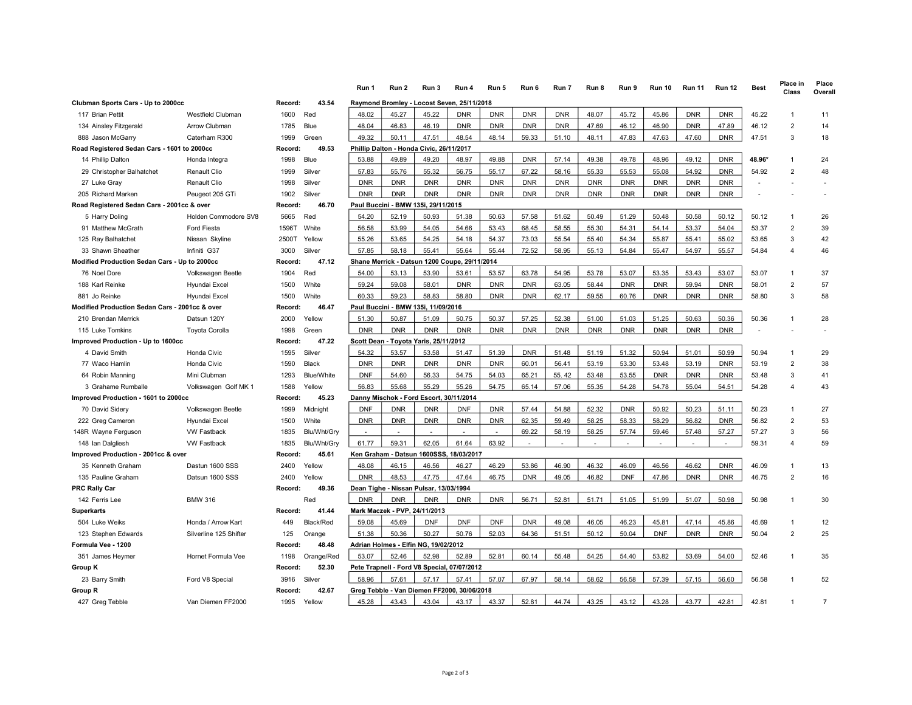|                                                |                        |         |             | Run 1      | Run 2                         | Run 3                                         | Run 4      | Run 5      | Run 6      | Run 7      | Run 8      | Run 9      | <b>Run 10</b> | <b>Run 11</b> | <b>Run 12</b> | <b>Best</b> | Place in<br>Class | Place<br>Overall |
|------------------------------------------------|------------------------|---------|-------------|------------|-------------------------------|-----------------------------------------------|------------|------------|------------|------------|------------|------------|---------------|---------------|---------------|-------------|-------------------|------------------|
| Clubman Sports Cars - Up to 2000cc             |                        | Record: | 43.54       |            |                               | Raymond Bromley - Locost Seven, 25/11/2018    |            |            |            |            |            |            |               |               |               |             |                   |                  |
| 117 Brian Pettit                               | Westfield Clubman      | 1600    | Red         | 48.02      | 45.27                         | 45.22                                         | <b>DNR</b> | <b>DNR</b> | <b>DNR</b> | <b>DNR</b> | 48.07      | 45.72      | 45.86         | <b>DNR</b>    | <b>DNR</b>    | 45.22       | $\overline{1}$    | 11               |
| 134 Ainsley Fitzgerald                         | <b>Arrow Clubman</b>   | 1785    | Blue        | 48.04      | 46.83                         | 46.19                                         | <b>DNR</b> | <b>DNR</b> | <b>DNR</b> | <b>DNR</b> | 47.69      | 46.12      | 46.90         | <b>DNR</b>    | 47.89         | 46.12       | $\overline{2}$    | 14               |
| 888 Jason McGarry                              | Caterham R300          | 1999    | Green       | 49.32      | 50.11                         | 47.51                                         | 48.54      | 48.14      | 59.33      | 51.10      | 48.11      | 47.83      | 47.63         | 47.60         | <b>DNR</b>    | 47.51       | 3                 | 18               |
| Road Registered Sedan Cars - 1601 to 2000cc    |                        | Record: | 49.53       |            |                               | Phillip Dalton - Honda Civic, 26/11/2017      |            |            |            |            |            |            |               |               |               |             |                   |                  |
| 14 Phillip Dalton                              | Honda Integra          | 1998    | Blue        | 53.88      | 49.89                         | 49.20                                         | 48.97      | 49.88      | <b>DNR</b> | 57.14      | 49.38      | 49.78      | 48.96         | 49.12         | <b>DNR</b>    | 48.96*      | $\overline{1}$    | 24               |
| 29 Christopher Balhatchet                      | Renault Clio           | 1999    | Silver      | 57.83      | 55.76                         | 55.32                                         | 56.75      | 55.17      | 67.22      | 58.16      | 55.33      | 55.53      | 55.08         | 54.92         | <b>DNR</b>    | 54.92       | $\overline{2}$    | 48               |
| 27 Luke Gray                                   | Renault Clio           | 1998    | Silver      | <b>DNR</b> | <b>DNR</b>                    | <b>DNR</b>                                    | <b>DNR</b> | <b>DNR</b> | <b>DNR</b> | <b>DNR</b> | <b>DNR</b> | <b>DNR</b> | <b>DNR</b>    | <b>DNR</b>    | <b>DNR</b>    |             |                   |                  |
| 205 Richard Marken                             | Peugeot 205 GTi        | 1902    | Silver      | <b>DNR</b> | <b>DNR</b>                    | <b>DNR</b>                                    | <b>DNR</b> | <b>DNR</b> | <b>DNR</b> | <b>DNR</b> | <b>DNR</b> | <b>DNR</b> | <b>DNR</b>    | <b>DNR</b>    | <b>DNR</b>    |             |                   |                  |
| Road Registered Sedan Cars - 2001cc & over     |                        | Record: | 46.70       |            |                               | Paul Buccini - BMW 135i, 29/11/2015           |            |            |            |            |            |            |               |               |               |             |                   |                  |
| 5 Harry Doling                                 | Holden Commodore SV8   | 5665    | Red         | 54.20      | 52.19                         | 50.93                                         | 51.38      | 50.63      | 57.58      | 51.62      | 50.49      | 51.29      | 50.48         | 50.58         | 50.12         | 50.12       |                   | 26               |
| 91 Matthew McGrath                             | Ford Fiesta            | 1596T   | White       | 56.58      | 53.99                         | 54.05                                         | 54.66      | 53.43      | 68.45      | 58.55      | 55.30      | 54.31      | 54.14         | 53.37         | 54.04         | 53.37       | $\overline{2}$    | 39               |
| 125 Ray Balhatchet                             | Nissan Skyline         | 2500T   | Yellow      | 55.26      | 53.65                         | 54.25                                         | 54.18      | 54.37      | 73.03      | 55.54      | 55.40      | 54.34      | 55.87         | 55.41         | 55.02         | 53.65       | 3                 | 42               |
| 33 Shawn Sheather                              | Infiniti G37           | 3000    | Silver      | 57.85      | 58.18                         | 55.41                                         | 55.64      | 55.44      | 72.52      | 58.95      | 55.13      | 54.84      | 55.47         | 54.97         | 55.57         | 54.84       | $\overline{4}$    | 46               |
| Modified Production Sedan Cars - Up to 2000cc  |                        | Record: | 47.12       |            |                               | Shane Merrick - Datsun 1200 Coupe, 29/11/2014 |            |            |            |            |            |            |               |               |               |             |                   |                  |
| 76 Noel Dore                                   | Volkswagen Beetle      | 1904    | Red         | 54.00      | 53.13                         | 53.90                                         | 53.61      | 53.57      | 63.78      | 54.95      | 53.78      | 53.07      | 53.35         | 53.43         | 53.07         | 53.07       | -1                | 37               |
| 188 Karl Reinke                                | Hyundai Excel          | 1500    | White       | 59.24      | 59.08                         | 58.01                                         | <b>DNR</b> | <b>DNR</b> | <b>DNR</b> | 63.05      | 58.44      | <b>DNR</b> | <b>DNR</b>    | 59.94         | <b>DNR</b>    | 58.01       | $\overline{2}$    | 57               |
| 881 Jo Reinke                                  | Hyundai Excel          | 1500    | White       | 60.33      | 59.23                         | 58.83                                         | 58.80      | <b>DNR</b> | <b>DNR</b> | 62.17      | 59.55      | 60.76      | <b>DNR</b>    | <b>DNR</b>    | <b>DNR</b>    | 58.80       | 3                 | 58               |
| Modified Production Sedan Cars - 2001cc & over |                        | Record: | 46.47       |            |                               | Paul Buccini - BMW 135i, 11/09/2016           |            |            |            |            |            |            |               |               |               |             |                   |                  |
| 210 Brendan Merrick                            | Datsun 120Y            | 2000    | Yellow      | 51.30      | 50.87                         | 51.09                                         | 50.75      | 50.37      | 57.25      | 52.38      | 51.00      | 51.03      | 51.25         | 50.63         | 50.36         | 50.36       | $\overline{1}$    | 28               |
| 115 Luke Tomkins                               | <b>Toyota Corolla</b>  | 1998    | Green       | <b>DNR</b> | <b>DNR</b>                    | <b>DNR</b>                                    | <b>DNR</b> | <b>DNR</b> | <b>DNR</b> | <b>DNR</b> | <b>DNR</b> | <b>DNR</b> | <b>DNR</b>    | <b>DNR</b>    | <b>DNR</b>    |             |                   |                  |
| Improved Production - Up to 1600cc             |                        | Record: | 47.22       |            |                               | Scott Dean - Toyota Yaris, 25/11/2012         |            |            |            |            |            |            |               |               |               |             |                   |                  |
| 4 David Smith                                  | Honda Civic            | 1595    | Silver      | 54.32      | 53.57                         | 53.58                                         | 51.47      | 51.39      | <b>DNR</b> | 51.48      | 51.19      | 51.32      | 50.94         | 51.01         | 50.99         | 50.94       | -1                | 29               |
| 77 Waco Hamlin                                 | Honda Civic            | 1590    | Black       | <b>DNR</b> | <b>DNR</b>                    | <b>DNR</b>                                    | <b>DNR</b> | <b>DNR</b> | 60.01      | 56.41      | 53.19      | 53.30      | 53.48         | 53.19         | <b>DNR</b>    | 53.19       | $\overline{2}$    | 38               |
| 64 Robin Manning                               | Mini Clubman           | 1293    | Blue/White  | <b>DNF</b> | 54.60                         | 56.33                                         | 54.75      | 54.03      | 65.21      | 55.42      | 53.48      | 53.55      | <b>DNR</b>    | <b>DNR</b>    | <b>DNR</b>    | 53.48       | 3                 | 41               |
| 3 Grahame Rumballe                             | Volkswagen Golf MK 1   | 1588    | Yellow      | 56.83      | 55.68                         | 55.29                                         | 55.26      | 54.75      | 65.14      | 57.06      | 55.35      | 54.28      | 54.78         | 55.04         | 54.51         | 54.28       | $\overline{4}$    | 43               |
| Improved Production - 1601 to 2000cc           |                        | Record: | 45.23       |            |                               | Danny Mischok - Ford Escort, 30/11/2014       |            |            |            |            |            |            |               |               |               |             |                   |                  |
| 70 David Sidery                                | Volkswagen Beetle      | 1999    | Midnight    | <b>DNF</b> | <b>DNR</b>                    | <b>DNR</b>                                    | <b>DNF</b> | <b>DNR</b> | 57.44      | 54.88      | 52.32      | <b>DNR</b> | 50.92         | 50.23         | 51.11         | 50.23       | -1                | 27               |
| 222 Greg Cameron                               | Hyundai Excel          | 1500    | White       | <b>DNR</b> | <b>DNR</b>                    | <b>DNR</b>                                    | <b>DNR</b> | <b>DNR</b> | 62.35      | 59.49      | 58.25      | 58.33      | 58.29         | 56.82         | <b>DNR</b>    | 56.82       | $\overline{2}$    | 53               |
| 148R Wayne Ferguson                            | <b>VW Fastback</b>     | 1835    | Blu/Wht/Gry | $\sim$     | $\overline{a}$                | $\overline{a}$                                |            |            | 69.22      | 58.19      | 58.25      | 57.74      | 59.46         | 57.48         | 57.27         | 57.27       | 3                 | 56               |
| 148 Ian Dalgliesh                              | <b>VW Fastback</b>     | 1835    | Blu/Wht/Gry | 61.77      | 59.31                         | 62.05                                         | 61.64      | 63.92      |            |            |            |            |               |               |               | 59.31       | $\overline{4}$    | 59               |
| Improved Production - 2001cc & over            |                        | Record: | 45.61       |            |                               | Ken Graham - Datsun 1600SSS, 18/03/2017       |            |            |            |            |            |            |               |               |               |             |                   |                  |
| 35 Kenneth Graham                              | Dastun 1600 SSS        | 2400    | Yellow      | 48.08      | 46.15                         | 46.56                                         | 46.27      | 46.29      | 53.86      | 46.90      | 46.32      | 46.09      | 46.56         | 46.62         | <b>DNR</b>    | 46.09       | -1                | 13               |
| 135 Pauline Graham                             | Datsun 1600 SSS        | 2400    | Yellow      | <b>DNR</b> | 48.53                         | 47.75                                         | 47.64      | 46.75      | <b>DNR</b> | 49.05      | 46.82      | <b>DNF</b> | 47.86         | <b>DNR</b>    | <b>DNR</b>    | 46.75       | $\overline{2}$    | 16               |
| <b>PRC Rally Car</b>                           |                        | Record: | 49.36       |            |                               | Dean Tighe - Nissan Pulsar, 13/03/1994        |            |            |            |            |            |            |               |               |               |             |                   |                  |
| 142 Ferris Lee                                 | <b>BMW 316</b>         |         | Red         | <b>DNR</b> | <b>DNR</b>                    | <b>DNR</b>                                    | <b>DNR</b> | <b>DNR</b> | 56.71      | 52.81      | 51.71      | 51.05      | 51.99         | 51.07         | 50.98         | 50.98       |                   | 30               |
| <b>Superkarts</b>                              |                        | Record: | 41.44       |            | Mark Maczek - PVP. 24/11/2013 |                                               |            |            |            |            |            |            |               |               |               |             |                   |                  |
| 504 Luke Weiks                                 | Honda / Arrow Kart     | 449     | Black/Red   | 59.08      | 45.69                         | <b>DNF</b>                                    | <b>DNF</b> | <b>DNF</b> | <b>DNR</b> | 49.08      | 46.05      | 46.23      | 45.81         | 47.14         | 45.86         | 45.69       | $\mathbf{1}$      | 12               |
| 123 Stephen Edwards                            | Silverline 125 Shifter | 125     | Orange      | 51.38      | 50.36                         | 50.27                                         | 50.76      | 52.03      | 64.36      | 51.51      | 50.12      | 50.04      | <b>DNF</b>    | <b>DNR</b>    | <b>DNR</b>    | 50.04       | $\overline{2}$    | 25               |
| Formula Vee - 1200                             |                        | Record: | 48.48       |            |                               | Adrian Holmes - Elfin NG, 19/02/2012          |            |            |            |            |            |            |               |               |               |             |                   |                  |
| 351 James Heymer                               | Hornet Formula Vee     | 1198    | Orange/Red  | 53.07      | 52.46                         | 52.98                                         | 52.89      | 52.81      | 60.14      | 55.48      | 54.25      | 54.40      | 53.82         | 53.69         | 54.00         | 52.46       |                   | 35               |
| <b>Group K</b>                                 |                        | Record: | 52.30       |            |                               | Pete Trapnell - Ford V8 Special, 07/07/2012   |            |            |            |            |            |            |               |               |               |             |                   |                  |
| 23 Barry Smith                                 | Ford V8 Special        | 3916    | Silver      | 58.96      | 57.61                         | 57.17                                         | 57.41      | 57.07      | 67.97      | 58.14      | 58.62      | 56.58      | 57.39         | 57.15         | 56.60         | 56.58       |                   | 52               |
| Group R                                        |                        | Record: | 42.67       |            |                               | Greg Tebble - Van Diemen FF2000, 30/06/2018   |            |            |            |            |            |            |               |               |               |             |                   |                  |
| 427 Greg Tebble                                | Van Diemen FF2000      | 1995    | Yellow      | 45.28      | 43.43                         | 43.04                                         | 43.17      | 43.37      | 52.81      | 44.74      | 43 25      | 43.12      | 43.28         | 43.77         | 42.81         | 42.81       |                   | $\overline{7}$   |